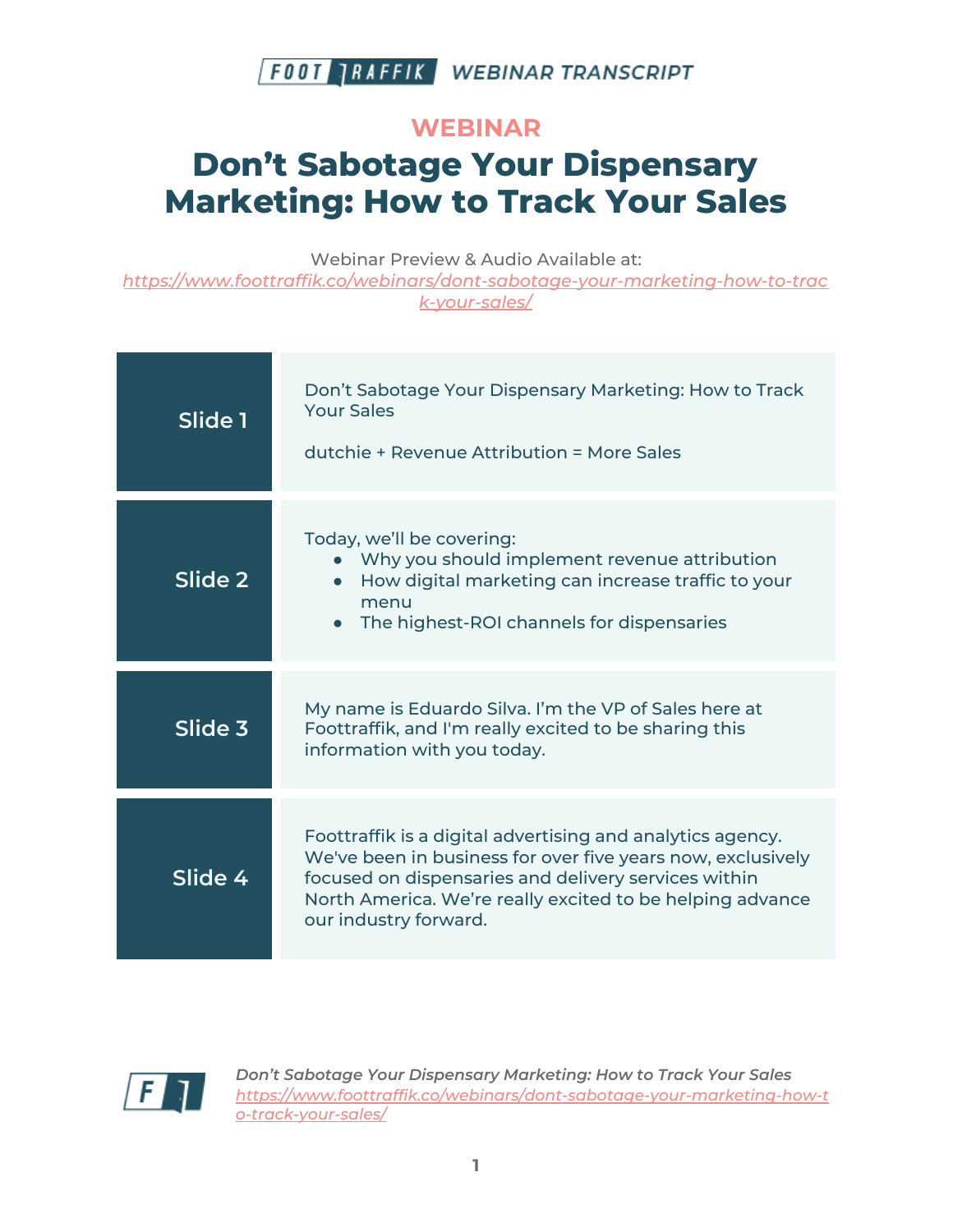

#### **WEBINAR**

# **Don't Sabotage Your Dispensary Marketing: How to Track Your Sales**

Webinar Preview & Audio Available at:

*[https://www.foottraffik.co/webinars/dont-sabotage-your-marketing-how-to-trac](https://www.foottraffik.co/webinars/dont-sabotage-your-marketing-how-to-track-your-sales/) [k-your-sales/](https://www.foottraffik.co/webinars/dont-sabotage-your-marketing-how-to-track-your-sales/)*

| Slide 1 | Don't Sabotage Your Dispensary Marketing: How to Track<br><b>Your Sales</b><br>dutchie + Revenue Attribution = More Sales                                                                                                                                               |
|---------|-------------------------------------------------------------------------------------------------------------------------------------------------------------------------------------------------------------------------------------------------------------------------|
| Slide 2 | Today, we'll be covering:<br>• Why you should implement revenue attribution<br>How digital marketing can increase traffic to your<br>menu<br>The highest-ROI channels for dispensaries                                                                                  |
| Slide 3 | My name is Eduardo Silva. I'm the VP of Sales here at<br>Foottraffik, and I'm really excited to be sharing this<br>information with you today.                                                                                                                          |
| Slide 4 | Foottraffik is a digital advertising and analytics agency.<br>We've been in business for over five years now, exclusively<br>focused on dispensaries and delivery services within<br>North America. We're really excited to be helping advance<br>our industry forward. |

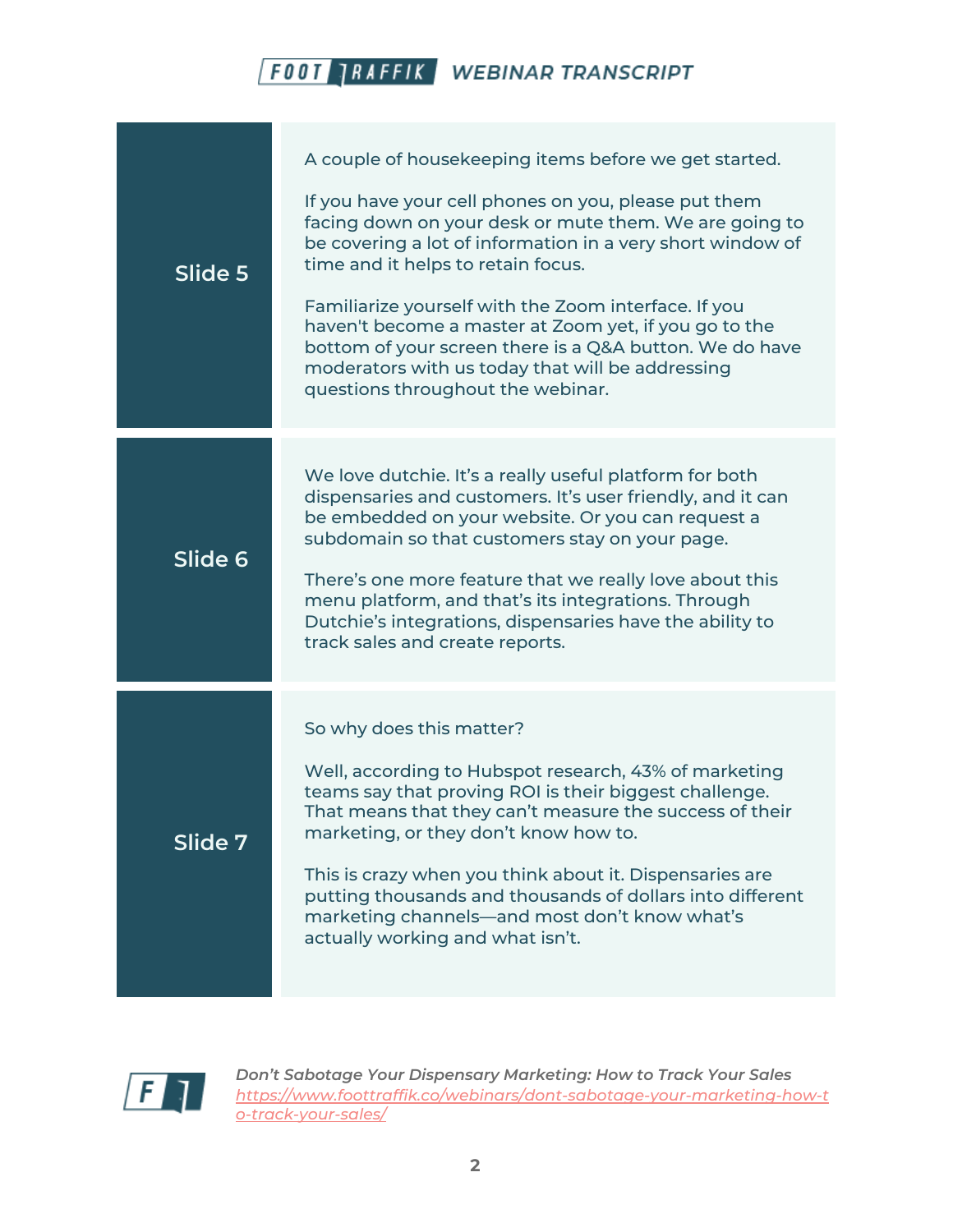| Slide 5            | A couple of housekeeping items before we get started.<br>If you have your cell phones on you, please put them<br>facing down on your desk or mute them. We are going to<br>be covering a lot of information in a very short window of<br>time and it helps to retain focus.<br>Familiarize yourself with the Zoom interface. If you<br>haven't become a master at Zoom yet, if you go to the<br>bottom of your screen there is a Q&A button. We do have<br>moderators with us today that will be addressing<br>questions throughout the webinar. |
|--------------------|--------------------------------------------------------------------------------------------------------------------------------------------------------------------------------------------------------------------------------------------------------------------------------------------------------------------------------------------------------------------------------------------------------------------------------------------------------------------------------------------------------------------------------------------------|
| Slide <sub>6</sub> | We love dutchie. It's a really useful platform for both<br>dispensaries and customers. It's user friendly, and it can<br>be embedded on your website. Or you can request a<br>subdomain so that customers stay on your page.<br>There's one more feature that we really love about this<br>menu platform, and that's its integrations. Through<br>Dutchie's integrations, dispensaries have the ability to<br>track sales and create reports.                                                                                                    |
| Slide 7            | So why does this matter?<br>Well, according to Hubspot research, 43% of marketing<br>teams say that proving ROI is their biggest challenge.<br>That means that they can't measure the success of their<br>marketing, or they don't know how to.<br>This is crazy when you think about it. Dispensaries are<br>putting thousands and thousands of dollars into different<br>marketing channels-and most don't know what's<br>actually working and what isn't.                                                                                     |

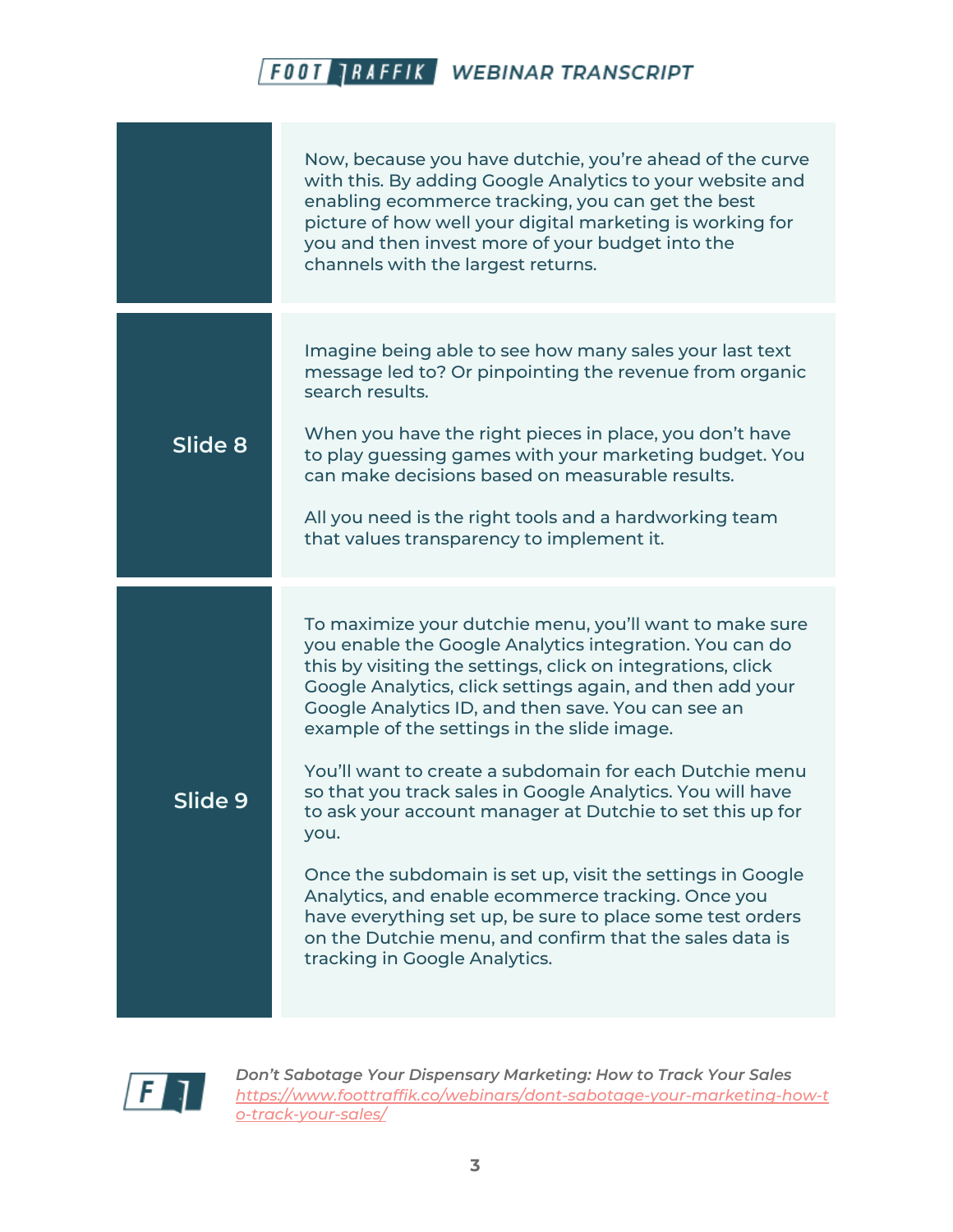|         | Now, because you have dutchie, you're ahead of the curve<br>with this. By adding Google Analytics to your website and<br>enabling ecommerce tracking, you can get the best<br>picture of how well your digital marketing is working for<br>you and then invest more of your budget into the<br>channels with the largest returns.                                                                                                                                                                                                                                                                                                                                                                                                                                                                                              |
|---------|--------------------------------------------------------------------------------------------------------------------------------------------------------------------------------------------------------------------------------------------------------------------------------------------------------------------------------------------------------------------------------------------------------------------------------------------------------------------------------------------------------------------------------------------------------------------------------------------------------------------------------------------------------------------------------------------------------------------------------------------------------------------------------------------------------------------------------|
| Slide 8 | Imagine being able to see how many sales your last text<br>message led to? Or pinpointing the revenue from organic<br>search results.<br>When you have the right pieces in place, you don't have<br>to play guessing games with your marketing budget. You<br>can make decisions based on measurable results.<br>All you need is the right tools and a hardworking team<br>that values transparency to implement it.                                                                                                                                                                                                                                                                                                                                                                                                           |
| Slide 9 | To maximize your dutchie menu, you'll want to make sure<br>you enable the Google Analytics integration. You can do<br>this by visiting the settings, click on integrations, click<br>Google Analytics, click settings again, and then add your<br>Google Analytics ID, and then save. You can see an<br>example of the settings in the slide image.<br>You'll want to create a subdomain for each Dutchie menu<br>so that you track sales in Google Analytics. You will have<br>to ask your account manager at Dutchie to set this up for<br>you.<br>Once the subdomain is set up, visit the settings in Google<br>Analytics, and enable ecommerce tracking. Once you<br>have everything set up, be sure to place some test orders<br>on the Dutchie menu, and confirm that the sales data is<br>tracking in Google Analytics. |

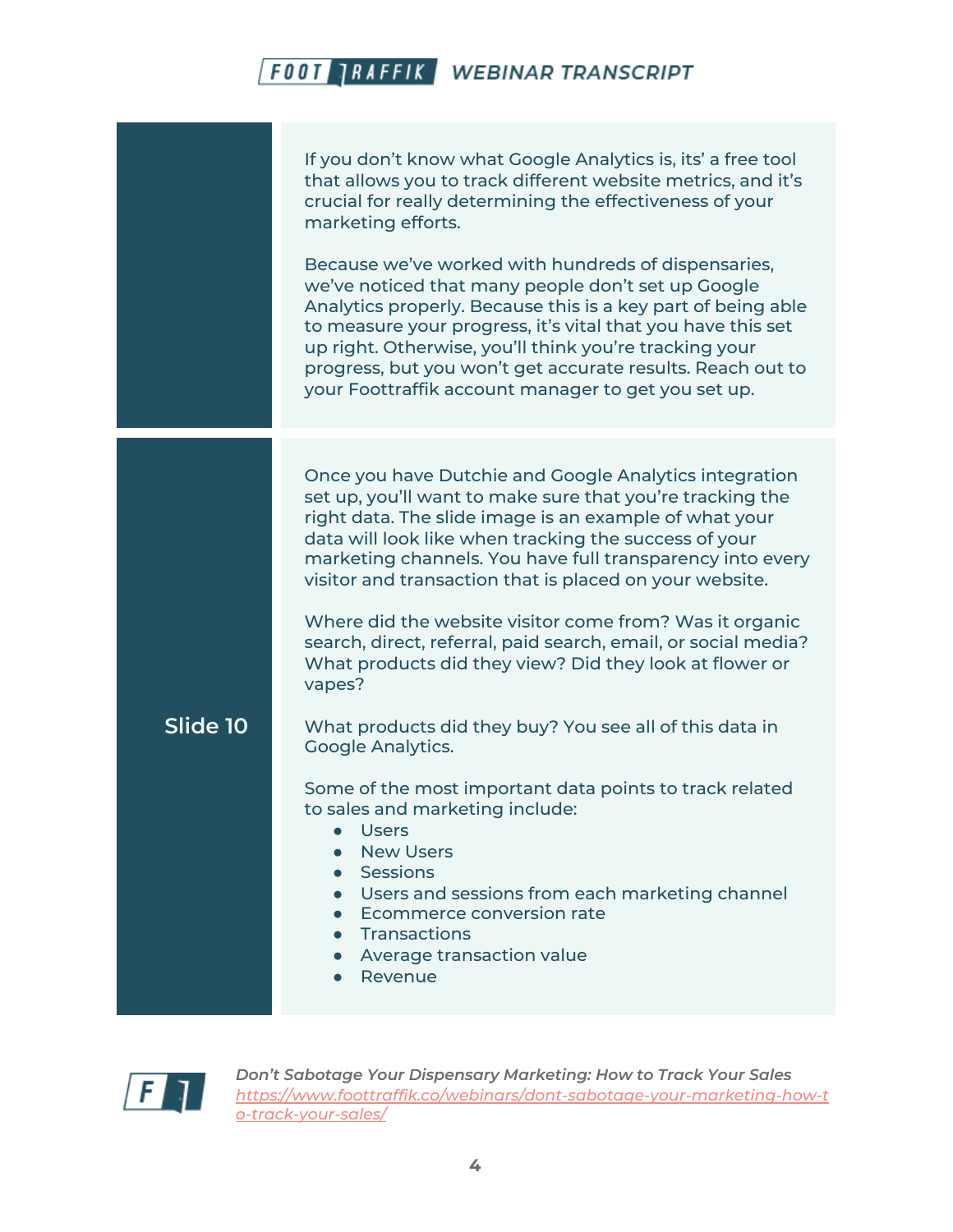If you don't know what Google Analytics is, its' a free tool that allows you to track different website metrics, and it's crucial for really determining the effectiveness of your marketing efforts.

Because we've worked with hundreds of dispensaries, we've noticed that many people don't set up Google Analytics properly. Because this is a key part of being able to measure your progress, it's vital that you have this set up right. Otherwise, you'll think you're tracking your progress, but you won't get accurate results. Reach out to your Foottraffik account manager to get you set up.

Once you have Dutchie and Google Analytics integration set up, you'll want to make sure that you're tracking the right data. The slide image is an example of what your data will look like when tracking the success of your marketing channels. You have full transparency into every visitor and transaction that is placed on your website.

Where did the website visitor come from? Was it organic search, direct, referral, paid search, email, or social media? What products did they view? Did they look at flower or vapes?

**Slide 10** What products did they buy? You see all of this data in Google Analytics.

> Some of the most important data points to track related to sales and marketing include:

- Users
- New Users
- Sessions
- Users and sessions from each marketing channel
- Ecommerce conversion rate
- Transactions
- Average transaction value
- Revenue

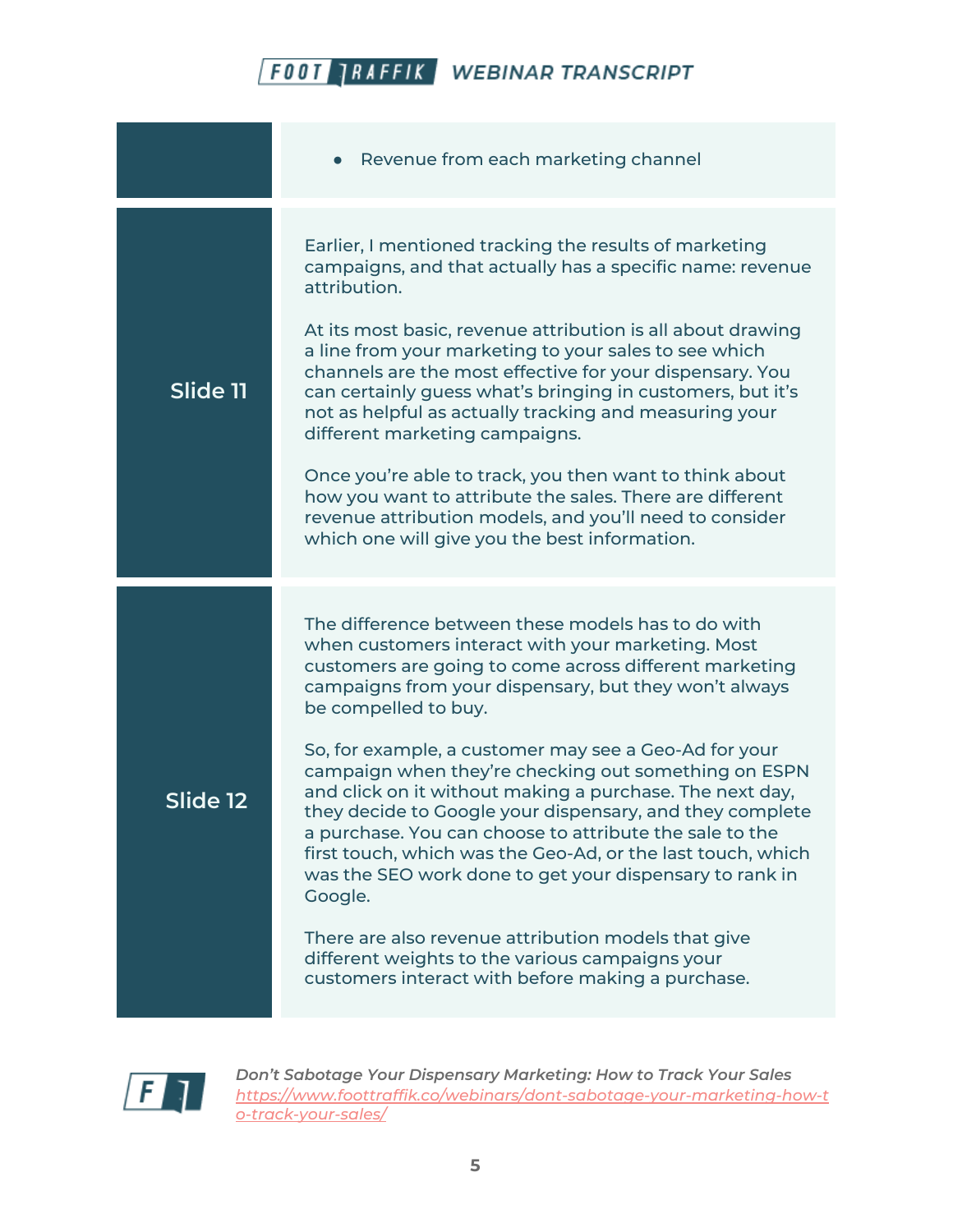|          | Revenue from each marketing channel                                                                                                                                                                                                                                                                                                                                                                                                                                                                                                                                                                                                                                                                                                                                                                                                                        |
|----------|------------------------------------------------------------------------------------------------------------------------------------------------------------------------------------------------------------------------------------------------------------------------------------------------------------------------------------------------------------------------------------------------------------------------------------------------------------------------------------------------------------------------------------------------------------------------------------------------------------------------------------------------------------------------------------------------------------------------------------------------------------------------------------------------------------------------------------------------------------|
| Slide 11 | Earlier, I mentioned tracking the results of marketing<br>campaigns, and that actually has a specific name: revenue<br>attribution.<br>At its most basic, revenue attribution is all about drawing<br>a line from your marketing to your sales to see which<br>channels are the most effective for your dispensary. You<br>can certainly guess what's bringing in customers, but it's<br>not as helpful as actually tracking and measuring your<br>different marketing campaigns.<br>Once you're able to track, you then want to think about<br>how you want to attribute the sales. There are different<br>revenue attribution models, and you'll need to consider<br>which one will give you the best information.                                                                                                                                       |
| Slide 12 | The difference between these models has to do with<br>when customers interact with your marketing. Most<br>customers are going to come across different marketing<br>campaigns from your dispensary, but they won't always<br>be compelled to buy.<br>So, for example, a customer may see a Geo-Ad for your<br>campaign when they're checking out something on ESPN<br>and click on it without making a purchase. The next day,<br>they decide to Google your dispensary, and they complete<br>a purchase. You can choose to attribute the sale to the<br>first touch, which was the Geo-Ad, or the last touch, which<br>was the SEO work done to get your dispensary to rank in<br>Google.<br>There are also revenue attribution models that give<br>different weights to the various campaigns your<br>customers interact with before making a purchase. |

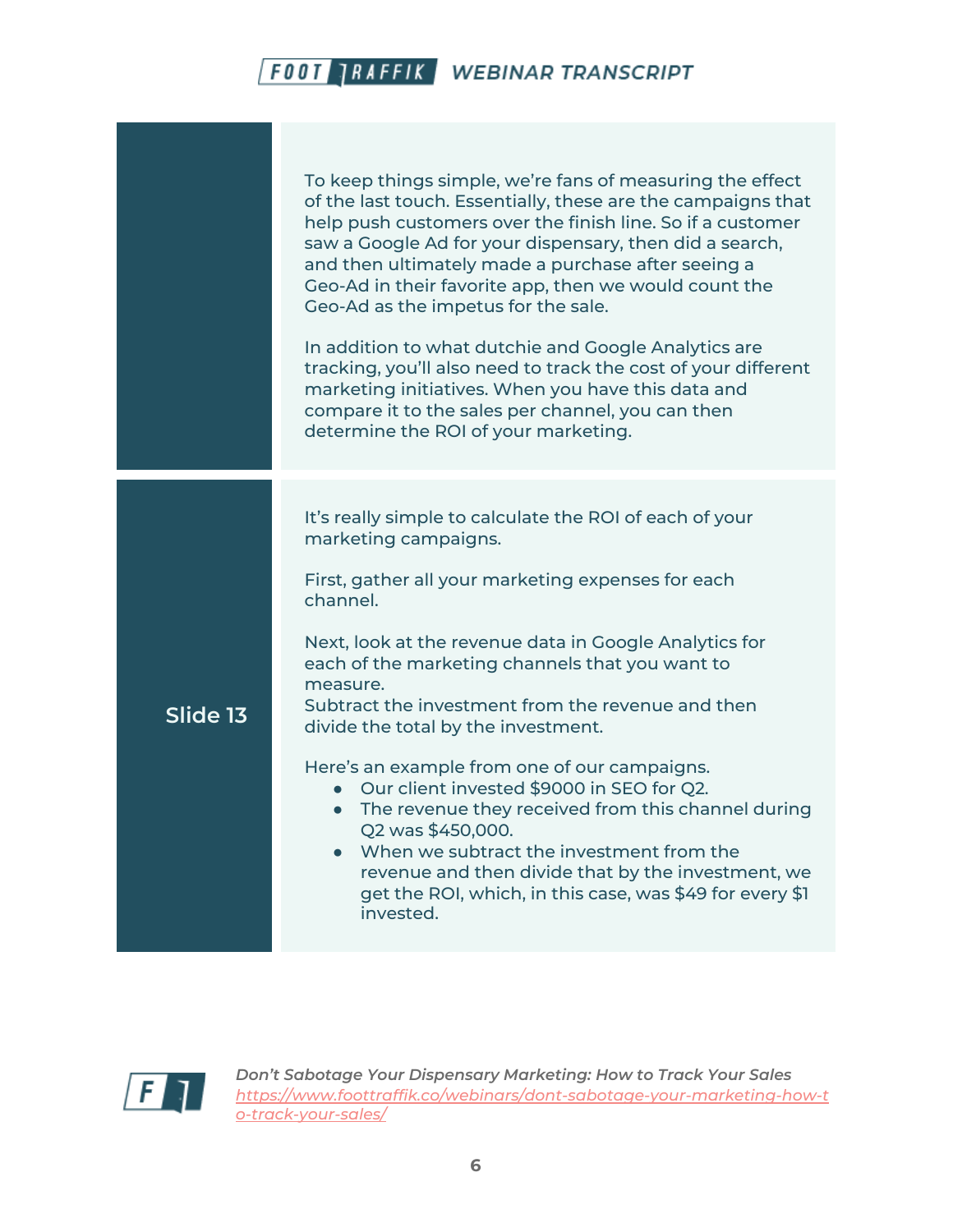|          | To keep things simple, we're fans of measuring the effect<br>of the last touch. Essentially, these are the campaigns that<br>help push customers over the finish line. So if a customer<br>saw a Google Ad for your dispensary, then did a search,<br>and then ultimately made a purchase after seeing a<br>Geo-Ad in their favorite app, then we would count the<br>Geo-Ad as the impetus for the sale.<br>In addition to what dutchie and Google Analytics are<br>tracking, you'll also need to track the cost of your different<br>marketing initiatives. When you have this data and<br>compare it to the sales per channel, you can then<br>determine the ROI of your marketing.                                         |
|----------|-------------------------------------------------------------------------------------------------------------------------------------------------------------------------------------------------------------------------------------------------------------------------------------------------------------------------------------------------------------------------------------------------------------------------------------------------------------------------------------------------------------------------------------------------------------------------------------------------------------------------------------------------------------------------------------------------------------------------------|
| Slide 13 | It's really simple to calculate the ROI of each of your<br>marketing campaigns.<br>First, gather all your marketing expenses for each<br>channel.<br>Next, look at the revenue data in Google Analytics for<br>each of the marketing channels that you want to<br>measure.<br>Subtract the investment from the revenue and then<br>divide the total by the investment.<br>Here's an example from one of our campaigns.<br>Our client invested \$9000 in SEO for Q2.<br>• The revenue they received from this channel during<br>Q2 was \$450,000.<br>• When we subtract the investment from the<br>revenue and then divide that by the investment, we<br>get the ROI, which, in this case, was \$49 for every \$1<br>invested. |

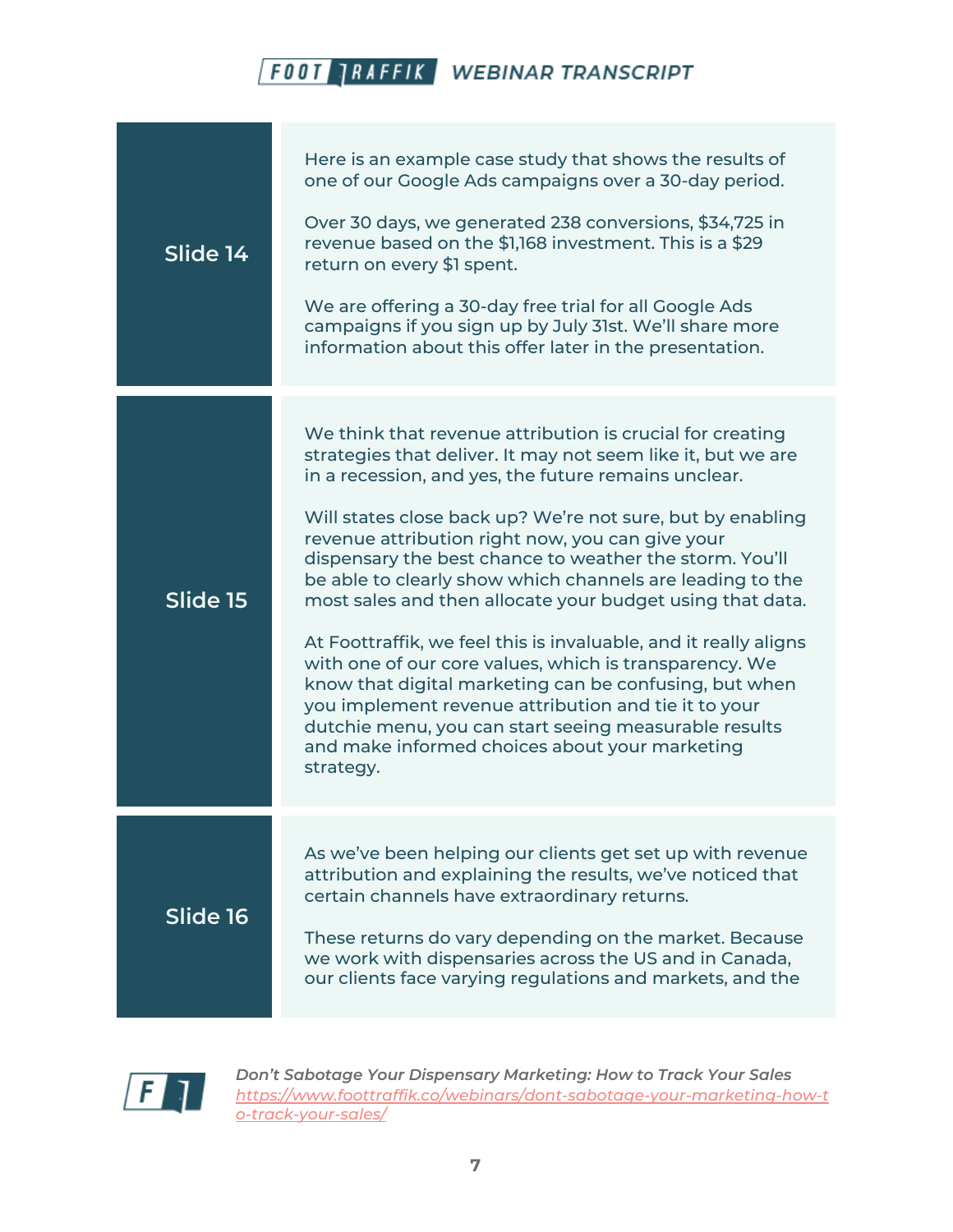| Slide 14 | Here is an example case study that shows the results of<br>one of our Google Ads campaigns over a 30-day period.<br>Over 30 days, we generated 238 conversions, \$34,725 in<br>revenue based on the \$1,168 investment. This is a \$29<br>return on every \$1 spent.<br>We are offering a 30-day free trial for all Google Ads<br>campaigns if you sign up by July 31st. We'll share more<br>information about this offer later in the presentation.                                                                                                                                                                                                                                                                                                                                                                                                             |
|----------|------------------------------------------------------------------------------------------------------------------------------------------------------------------------------------------------------------------------------------------------------------------------------------------------------------------------------------------------------------------------------------------------------------------------------------------------------------------------------------------------------------------------------------------------------------------------------------------------------------------------------------------------------------------------------------------------------------------------------------------------------------------------------------------------------------------------------------------------------------------|
| Slide 15 | We think that revenue attribution is crucial for creating<br>strategies that deliver. It may not seem like it, but we are<br>in a recession, and yes, the future remains unclear.<br>Will states close back up? We're not sure, but by enabling<br>revenue attribution right now, you can give your<br>dispensary the best chance to weather the storm. You'll<br>be able to clearly show which channels are leading to the<br>most sales and then allocate your budget using that data.<br>At Foottraffik, we feel this is invaluable, and it really aligns<br>with one of our core values, which is transparency. We<br>know that digital marketing can be confusing, but when<br>you implement revenue attribution and tie it to your<br>dutchie menu, you can start seeing measurable results<br>and make informed choices about your marketing<br>strategy. |
| Slide 16 | As we've been helping our clients get set up with revenue<br>attribution and explaining the results, we've noticed that<br>certain channels have extraordinary returns.<br>These returns do vary depending on the market. Because<br>we work with dispensaries across the US and in Canada,<br>our clients face varying regulations and markets, and the                                                                                                                                                                                                                                                                                                                                                                                                                                                                                                         |

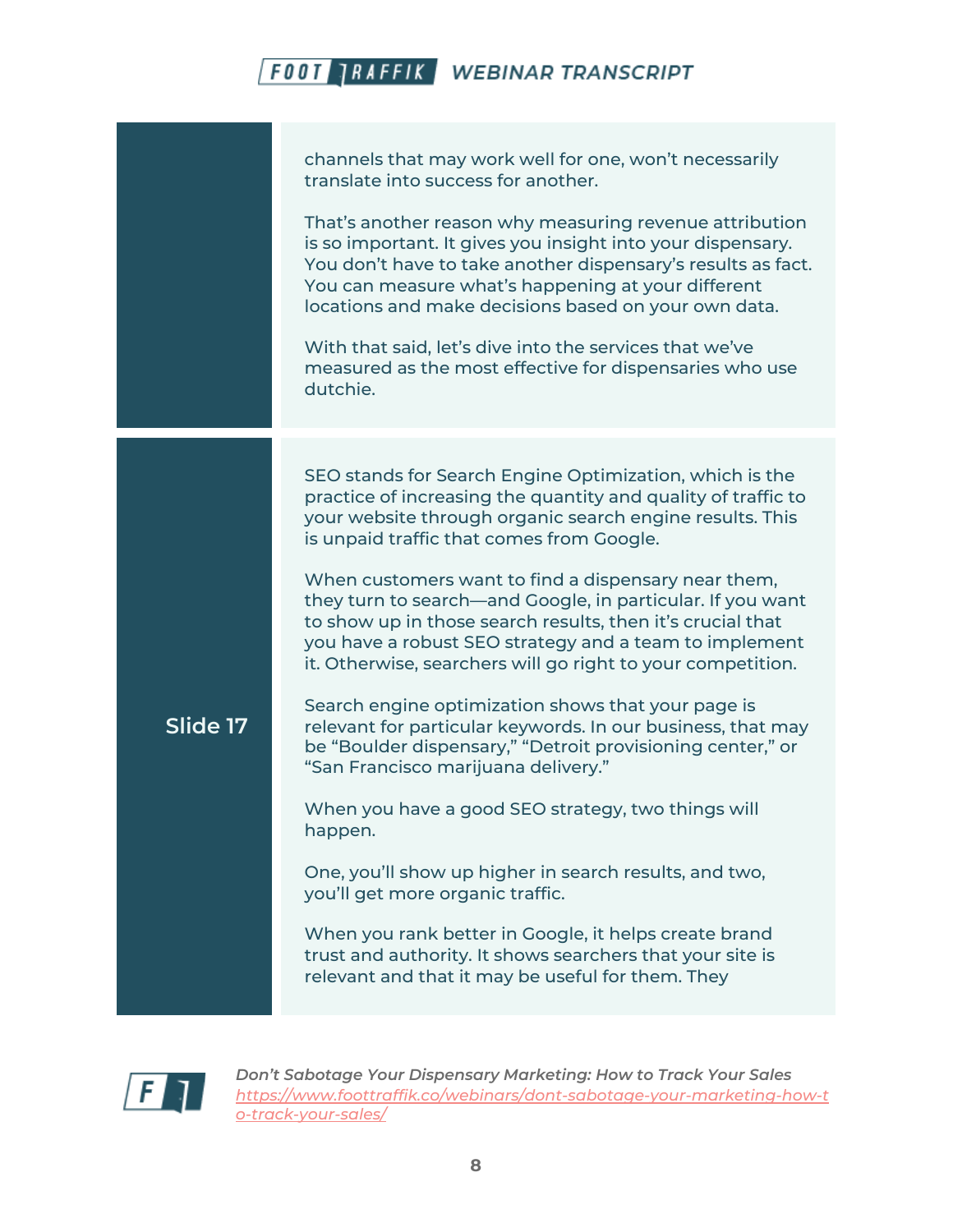|          | channels that may work well for one, won't necessarily<br>translate into success for another.<br>That's another reason why measuring revenue attribution<br>is so important. It gives you insight into your dispensary.<br>You don't have to take another dispensary's results as fact.<br>You can measure what's happening at your different<br>locations and make decisions based on your own data.<br>With that said, let's dive into the services that we've<br>measured as the most effective for dispensaries who use<br>dutchie.                                                                                                                                                                                                                                                                                                                                                                                                                                                                                                                                                                           |
|----------|-------------------------------------------------------------------------------------------------------------------------------------------------------------------------------------------------------------------------------------------------------------------------------------------------------------------------------------------------------------------------------------------------------------------------------------------------------------------------------------------------------------------------------------------------------------------------------------------------------------------------------------------------------------------------------------------------------------------------------------------------------------------------------------------------------------------------------------------------------------------------------------------------------------------------------------------------------------------------------------------------------------------------------------------------------------------------------------------------------------------|
| Slide 17 | SEO stands for Search Engine Optimization, which is the<br>practice of increasing the quantity and quality of traffic to<br>your website through organic search engine results. This<br>is unpaid traffic that comes from Google.<br>When customers want to find a dispensary near them,<br>they turn to search—and Google, in particular. If you want<br>to show up in those search results, then it's crucial that<br>you have a robust SEO strategy and a team to implement<br>it. Otherwise, searchers will go right to your competition.<br>Search engine optimization shows that your page is<br>relevant for particular keywords. In our business, that may<br>be "Boulder dispensary," "Detroit provisioning center," or<br>"San Francisco marijuana delivery."<br>When you have a good SEO strategy, two things will<br>happen.<br>One, you'll show up higher in search results, and two,<br>you'll get more organic traffic.<br>When you rank better in Google, it helps create brand<br>trust and authority. It shows searchers that your site is<br>relevant and that it may be useful for them. They |

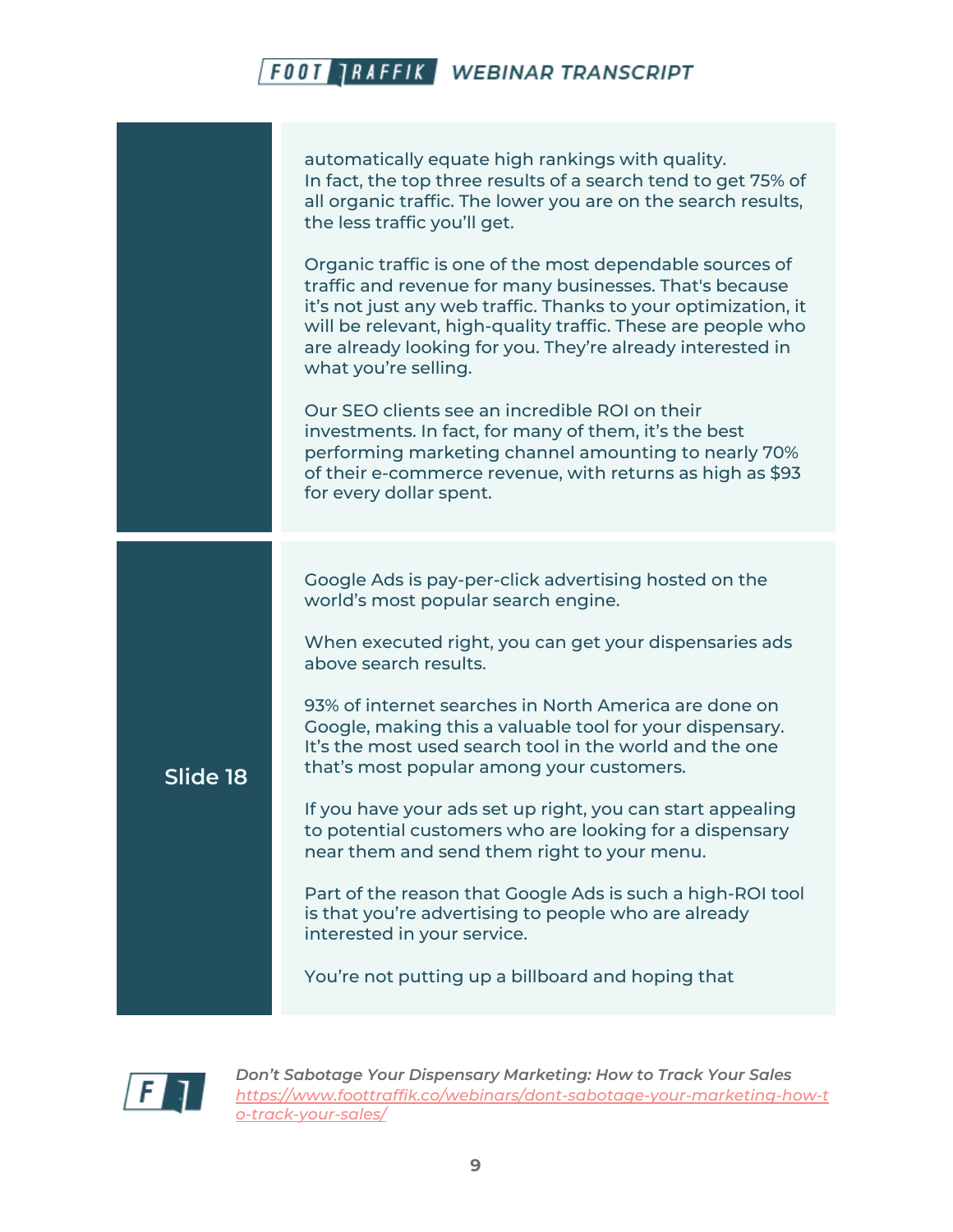|          | automatically equate high rankings with quality.<br>In fact, the top three results of a search tend to get 75% of<br>all organic traffic. The lower you are on the search results,<br>the less traffic you'll get.<br>Organic traffic is one of the most dependable sources of<br>traffic and revenue for many businesses. That's because<br>it's not just any web traffic. Thanks to your optimization, it<br>will be relevant, high-quality traffic. These are people who<br>are already looking for you. They're already interested in<br>what you're selling.<br>Our SEO clients see an incredible ROI on their<br>investments. In fact, for many of them, it's the best<br>performing marketing channel amounting to nearly 70%<br>of their e-commerce revenue, with returns as high as \$93<br>for every dollar spent. |
|----------|------------------------------------------------------------------------------------------------------------------------------------------------------------------------------------------------------------------------------------------------------------------------------------------------------------------------------------------------------------------------------------------------------------------------------------------------------------------------------------------------------------------------------------------------------------------------------------------------------------------------------------------------------------------------------------------------------------------------------------------------------------------------------------------------------------------------------|
| Slide 18 | Google Ads is pay-per-click advertising hosted on the<br>world's most popular search engine.<br>When executed right, you can get your dispensaries ads<br>above search results.<br>93% of internet searches in North America are done on<br>Google, making this a valuable tool for your dispensary.<br>It's the most used search tool in the world and the one<br>that's most popular among your customers.<br>If you have your ads set up right, you can start appealing<br>to potential customers who are looking for a dispensary<br>near them and send them right to your menu.<br>Part of the reason that Google Ads is such a high-ROI tool<br>is that you're advertising to people who are already<br>interested in your service.<br>You're not putting up a billboard and hoping that                               |

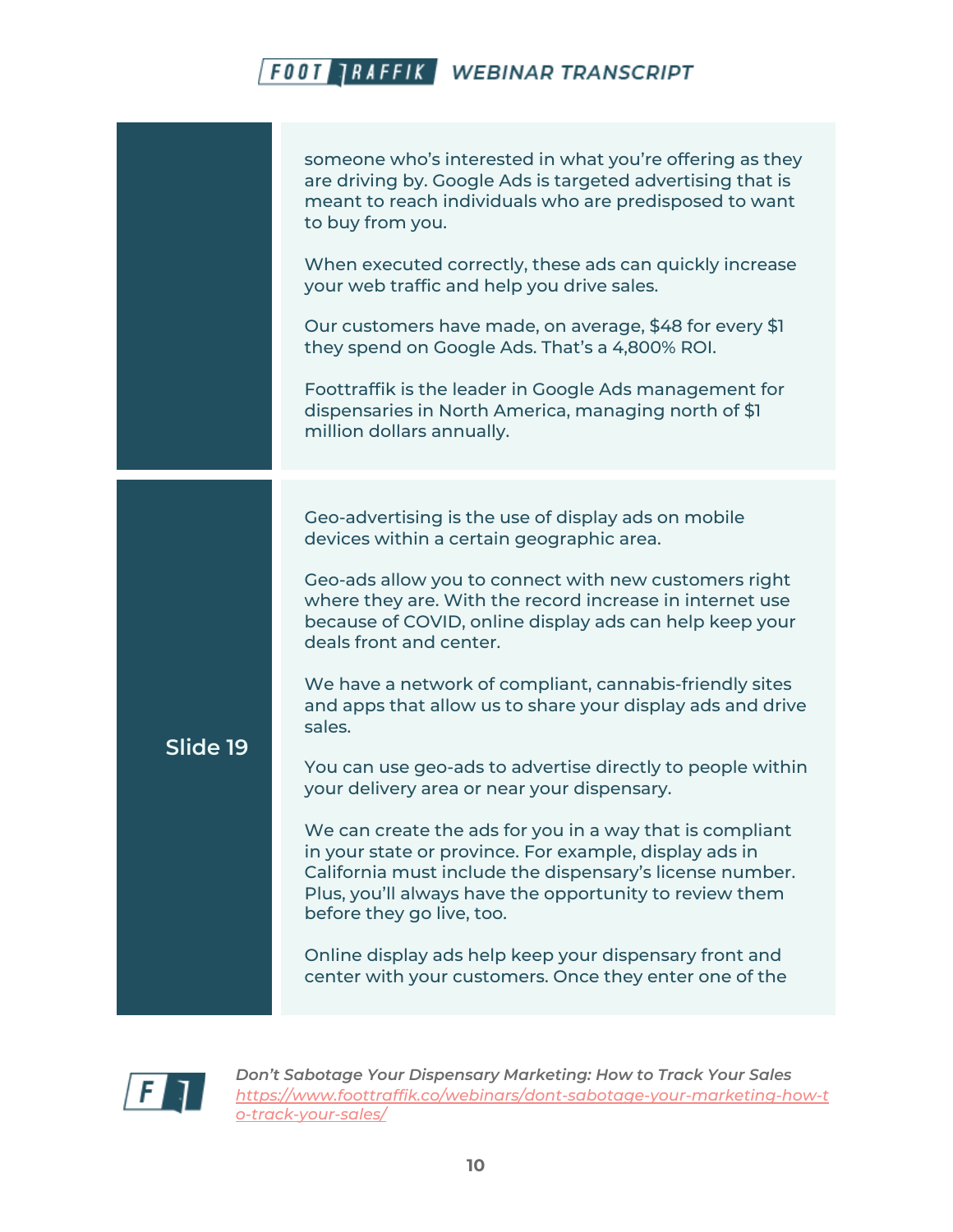|          | someone who's interested in what you're offering as they<br>are driving by. Google Ads is targeted advertising that is<br>meant to reach individuals who are predisposed to want<br>to buy from you.<br>When executed correctly, these ads can quickly increase<br>your web traffic and help you drive sales.<br>Our customers have made, on average, \$48 for every \$1<br>they spend on Google Ads. That's a 4,800% ROI.<br>Foottraffik is the leader in Google Ads management for<br>dispensaries in North America, managing north of \$1<br>million dollars annually.                                                                                                                                                                                                                                                                                                                                                                                 |
|----------|-----------------------------------------------------------------------------------------------------------------------------------------------------------------------------------------------------------------------------------------------------------------------------------------------------------------------------------------------------------------------------------------------------------------------------------------------------------------------------------------------------------------------------------------------------------------------------------------------------------------------------------------------------------------------------------------------------------------------------------------------------------------------------------------------------------------------------------------------------------------------------------------------------------------------------------------------------------|
| Slide 19 | Geo-advertising is the use of display ads on mobile<br>devices within a certain geographic area.<br>Geo-ads allow you to connect with new customers right<br>where they are. With the record increase in internet use<br>because of COVID, online display ads can help keep your<br>deals front and center.<br>We have a network of compliant, cannabis-friendly sites<br>and apps that allow us to share your display ads and drive<br>sales.<br>You can use geo-ads to advertise directly to people within<br>your delivery area or near your dispensary.<br>We can create the ads for you in a way that is compliant<br>in your state or province. For example, display ads in<br>California must include the dispensary's license number.<br>Plus, you'll always have the opportunity to review them<br>before they go live, too.<br>Online display ads help keep your dispensary front and<br>center with your customers. Once they enter one of the |

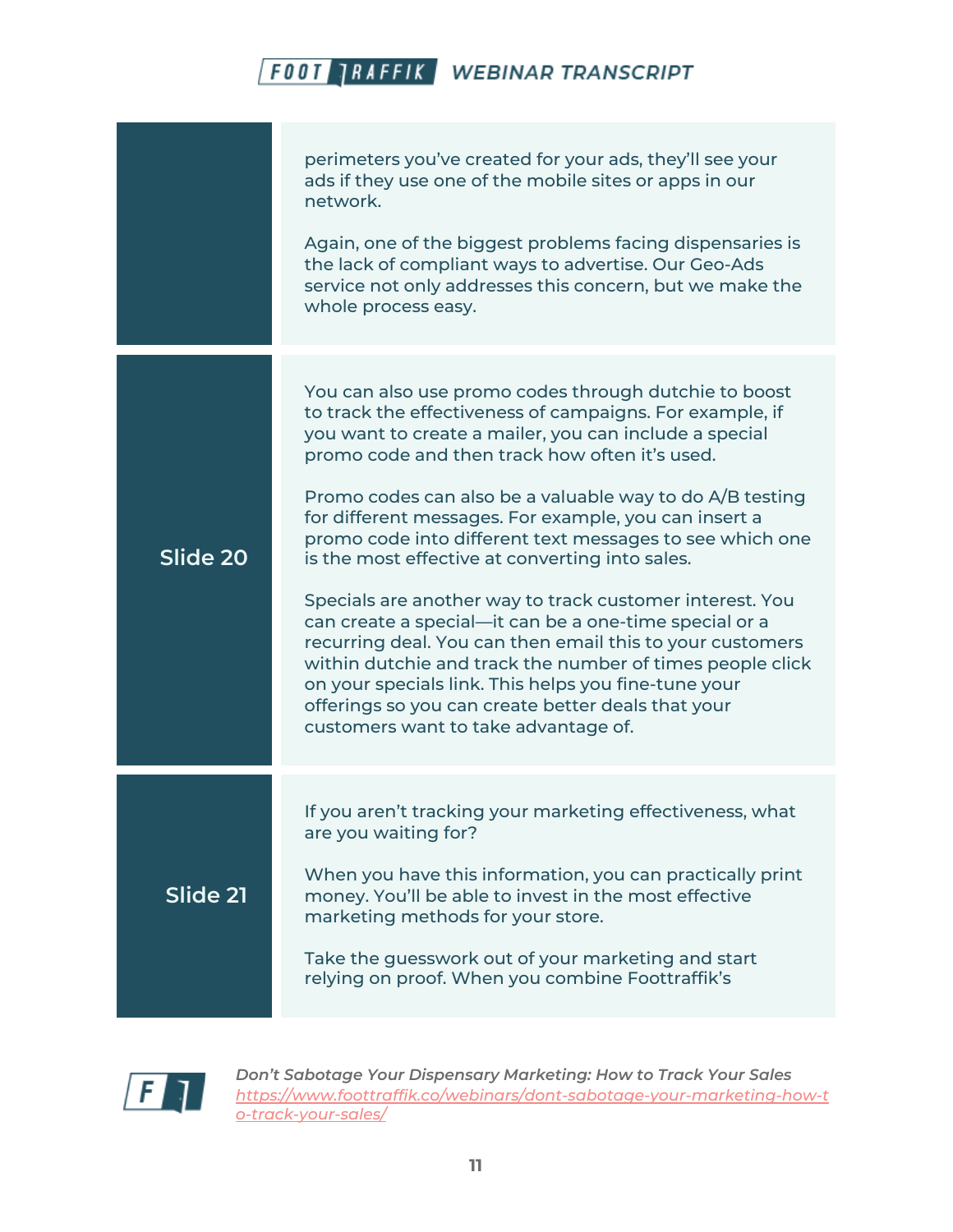|          | perimeters you've created for your ads, they'll see your<br>ads if they use one of the mobile sites or apps in our<br>network.<br>Again, one of the biggest problems facing dispensaries is<br>the lack of compliant ways to advertise. Our Geo-Ads<br>service not only addresses this concern, but we make the<br>whole process easy.                                                                                                                                                                                                                                                                                                                                                                                                                                                                                                                                  |
|----------|-------------------------------------------------------------------------------------------------------------------------------------------------------------------------------------------------------------------------------------------------------------------------------------------------------------------------------------------------------------------------------------------------------------------------------------------------------------------------------------------------------------------------------------------------------------------------------------------------------------------------------------------------------------------------------------------------------------------------------------------------------------------------------------------------------------------------------------------------------------------------|
| Slide 20 | You can also use promo codes through dutchie to boost<br>to track the effectiveness of campaigns. For example, if<br>you want to create a mailer, you can include a special<br>promo code and then track how often it's used.<br>Promo codes can also be a valuable way to do A/B testing<br>for different messages. For example, you can insert a<br>promo code into different text messages to see which one<br>is the most effective at converting into sales.<br>Specials are another way to track customer interest. You<br>can create a special-it can be a one-time special or a<br>recurring deal. You can then email this to your customers<br>within dutchie and track the number of times people click<br>on your specials link. This helps you fine-tune your<br>offerings so you can create better deals that your<br>customers want to take advantage of. |
| Slide 21 | If you aren't tracking your marketing effectiveness, what<br>are you waiting for?<br>When you have this information, you can practically print<br>money. You'll be able to invest in the most effective<br>marketing methods for your store.<br>Take the guesswork out of your marketing and start<br>relying on proof. When you combine Foottraffik's                                                                                                                                                                                                                                                                                                                                                                                                                                                                                                                  |